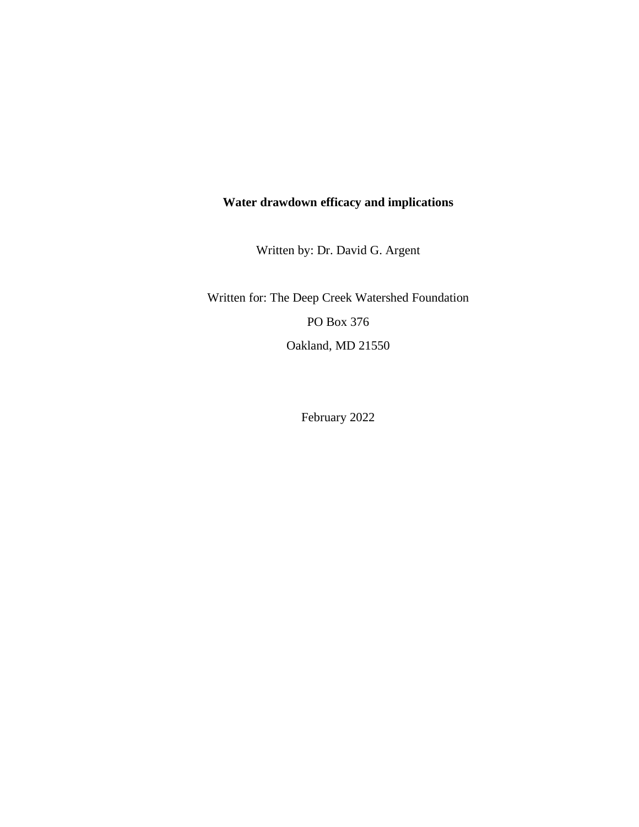# **Water drawdown efficacy and implications**

Written by: Dr. David G. Argent

Written for: The Deep Creek Watershed Foundation PO Box 376 Oakland, MD 21550

February 2022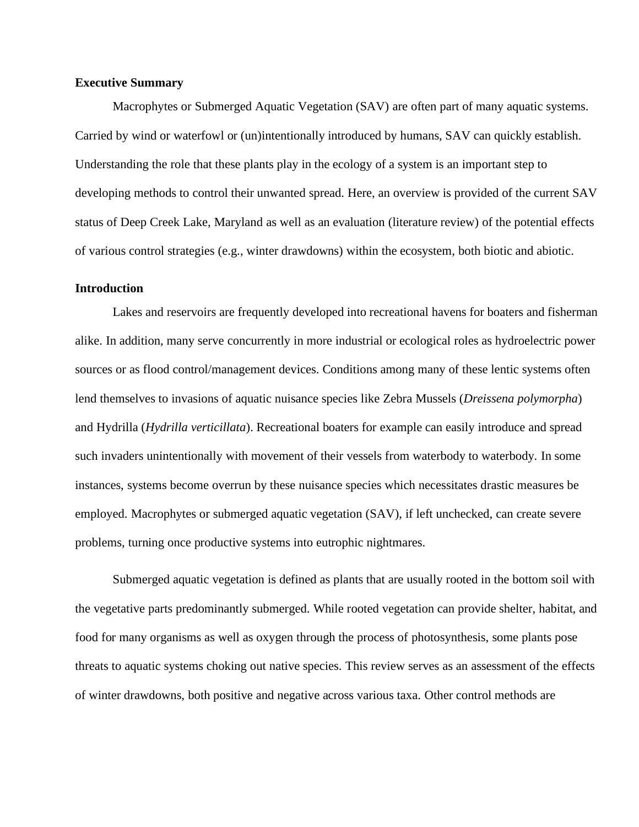### **Executive Summary**

Macrophytes or Submerged Aquatic Vegetation (SAV) are often part of many aquatic systems. Carried by wind or waterfowl or (un)intentionally introduced by humans, SAV can quickly establish. Understanding the role that these plants play in the ecology of a system is an important step to developing methods to control their unwanted spread. Here, an overview is provided of the current SAV status of Deep Creek Lake, Maryland as well as an evaluation (literature review) of the potential effects of various control strategies (e.g., winter drawdowns) within the ecosystem, both biotic and abiotic.

### **Introduction**

Lakes and reservoirs are frequently developed into recreational havens for boaters and fisherman alike. In addition, many serve concurrently in more industrial or ecological roles as hydroelectric power sources or as flood control/management devices. Conditions among many of these lentic systems often lend themselves to invasions of aquatic nuisance species like Zebra Mussels (*Dreissena polymorpha*) and Hydrilla (*Hydrilla verticillata*). Recreational boaters for example can easily introduce and spread such invaders unintentionally with movement of their vessels from waterbody to waterbody. In some instances, systems become overrun by these nuisance species which necessitates drastic measures be employed. Macrophytes or submerged aquatic vegetation (SAV), if left unchecked, can create severe problems, turning once productive systems into eutrophic nightmares.

Submerged aquatic vegetation is defined as plants that are usually rooted in the bottom soil with the vegetative parts predominantly submerged. While rooted vegetation can provide shelter, habitat, and food for many organisms as well as oxygen through the process of photosynthesis, some plants pose threats to aquatic systems choking out native species. This review serves as an assessment of the effects of winter drawdowns, both positive and negative across various taxa. Other control methods are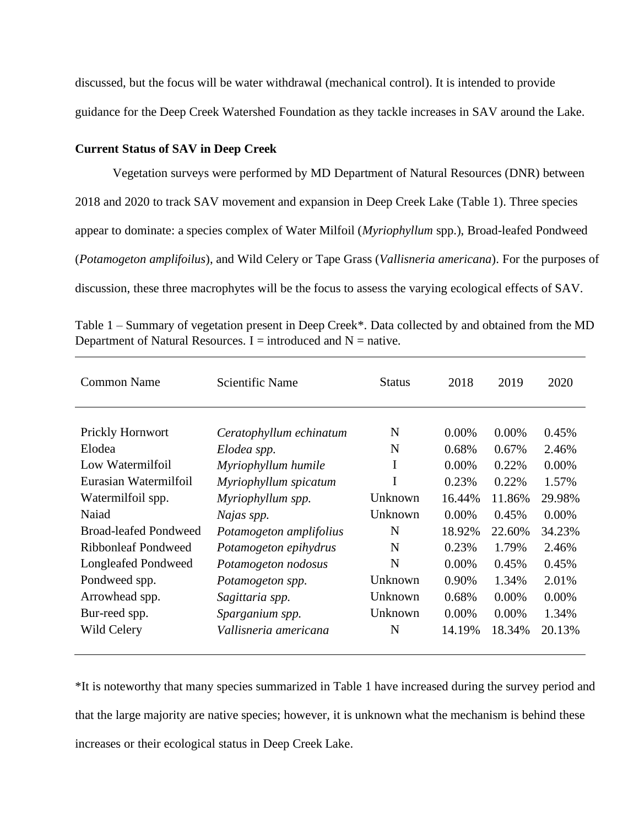discussed, but the focus will be water withdrawal (mechanical control). It is intended to provide guidance for the Deep Creek Watershed Foundation as they tackle increases in SAV around the Lake.

#### **Current Status of SAV in Deep Creek**

Vegetation surveys were performed by MD Department of Natural Resources (DNR) between 2018 and 2020 to track SAV movement and expansion in Deep Creek Lake (Table 1). Three species appear to dominate: a species complex of Water Milfoil (*Myriophyllum* spp.), Broad-leafed Pondweed (*Potamogeton amplifoilus*), and Wild Celery or Tape Grass (*Vallisneria americana*). For the purposes of discussion, these three macrophytes will be the focus to assess the varying ecological effects of SAV.

| <b>Common Name</b>           | Scientific Name         | <b>Status</b> | 2018     | 2019     | 2020     |
|------------------------------|-------------------------|---------------|----------|----------|----------|
|                              |                         |               |          |          |          |
| <b>Prickly Hornwort</b>      | Ceratophyllum echinatum | N             | 0.00%    | $0.00\%$ | 0.45%    |
| Elodea                       | Elodea spp.             | N             | 0.68%    | 0.67%    | 2.46%    |
| Low Watermilfoil             | Myriophyllum humile     | I             | $0.00\%$ | 0.22%    | $0.00\%$ |
| Eurasian Watermilfoil        | Myriophyllum spicatum   | I             | 0.23%    | 0.22%    | 1.57%    |
| Watermilfoil spp.            | Myriophyllum spp.       | Unknown       | 16.44%   | 11.86%   | 29.98%   |
| Naiad                        | Najas spp.              | Unknown       | $0.00\%$ | 0.45%    | $0.00\%$ |
| <b>Broad-leafed Pondweed</b> | Potamogeton amplifolius | N             | 18.92%   | 22.60%   | 34.23%   |
| Ribbonleaf Pondweed          | Potamogeton epihydrus   | N             | 0.23%    | 1.79%    | 2.46%    |
| Longleafed Pondweed          | Potamogeton nodosus     | N             | 0.00%    | 0.45%    | 0.45%    |
| Pondweed spp.                | Potamogeton spp.        | Unknown       | 0.90%    | 1.34%    | 2.01%    |
| Arrowhead spp.               | Sagittaria spp.         | Unknown       | 0.68%    | $0.00\%$ | $0.00\%$ |
| Bur-reed spp.                | Sparganium spp.         | Unknown       | $0.00\%$ | $0.00\%$ | 1.34%    |
| Wild Celery                  | Vallisneria americana   | N             | 14.19%   | 18.34%   | 20.13%   |

Table 1 – Summary of vegetation present in Deep Creek\*. Data collected by and obtained from the MD Department of Natural Resources. I = introduced and  $N =$  native.

\*It is noteworthy that many species summarized in Table 1 have increased during the survey period and that the large majority are native species; however, it is unknown what the mechanism is behind these increases or their ecological status in Deep Creek Lake.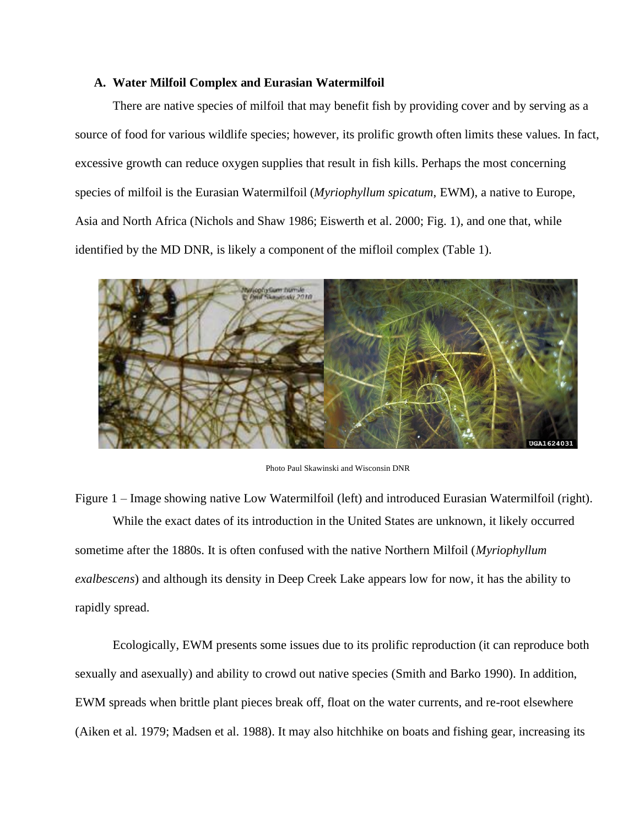### **A. Water Milfoil Complex and Eurasian Watermilfoil**

There are native species of milfoil that may benefit fish by providing cover and by serving as a source of food for various wildlife species; however, its prolific growth often limits these values. In fact, excessive growth can reduce oxygen supplies that result in fish kills. Perhaps the most concerning species of milfoil is the Eurasian Watermilfoil (*Myriophyllum spicatum*, EWM), a native to Europe, Asia and North Africa (Nichols and Shaw 1986; Eiswerth et al. 2000; Fig. 1), and one that, while identified by the MD DNR, is likely a component of the mifloil complex (Table 1).



Photo Paul Skawinski and Wisconsin DNR

Figure 1 – Image showing native Low Watermilfoil (left) and introduced Eurasian Watermilfoil (right). While the exact dates of its introduction in the United States are unknown, it likely occurred sometime after the 1880s. It is often confused with the native Northern Milfoil (*Myriophyllum exalbescens*) and although its density in Deep Creek Lake appears low for now, it has the ability to rapidly spread.

Ecologically, EWM presents some issues due to its prolific reproduction (it can reproduce both sexually and asexually) and ability to crowd out native species (Smith and Barko 1990). In addition, EWM spreads when brittle plant pieces break off, float on the water currents, and re-root elsewhere (Aiken et al. 1979; Madsen et al. 1988). It may also hitchhike on boats and fishing gear, increasing its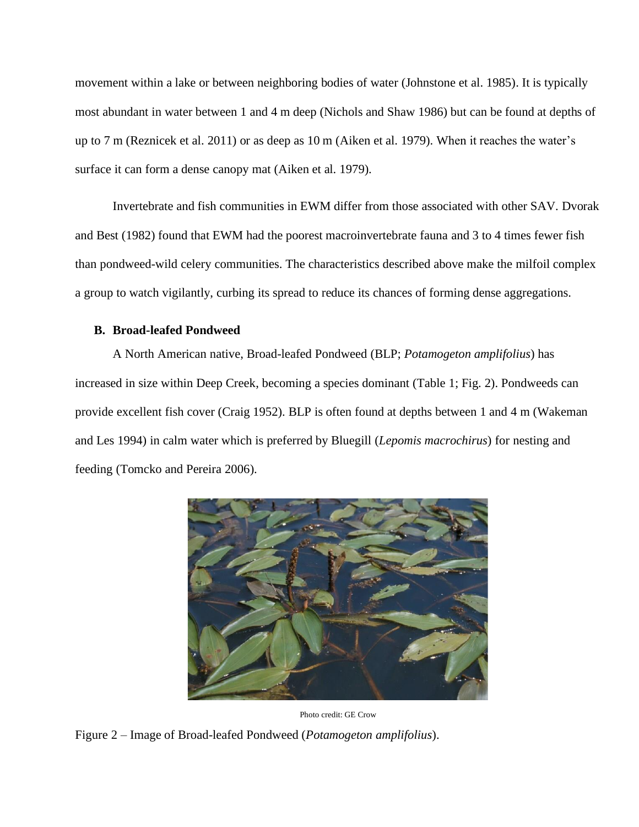movement within a lake or between neighboring bodies of water (Johnstone et al. 1985). It is typically most abundant in water between 1 and 4 m deep (Nichols and Shaw 1986) but can be found at depths of up to 7 m (Reznicek et al. 2011) or as deep as 10 m (Aiken et al. 1979). When it reaches the water's surface it can form a dense canopy mat (Aiken et al. 1979).

Invertebrate and fish communities in EWM differ from those associated with other SAV. Dvorak and Best (1982) found that EWM had the poorest macroinvertebrate fauna and 3 to 4 times fewer fish than pondweed-wild celery communities. The characteristics described above make the milfoil complex a group to watch vigilantly, curbing its spread to reduce its chances of forming dense aggregations.

# **B. Broad-leafed Pondweed**

A North American native, Broad-leafed Pondweed (BLP; *Potamogeton amplifolius*) has increased in size within Deep Creek, becoming a species dominant (Table 1; Fig. 2). Pondweeds can provide excellent fish cover (Craig 1952). BLP is often found at depths between 1 and 4 m (Wakeman and Les 1994) in calm water which is preferred by Bluegill (*Lepomis macrochirus*) for nesting and feeding (Tomcko and Pereira 2006).



Photo credit: GE Crow

Figure 2 – Image of Broad-leafed Pondweed (*Potamogeton amplifolius*).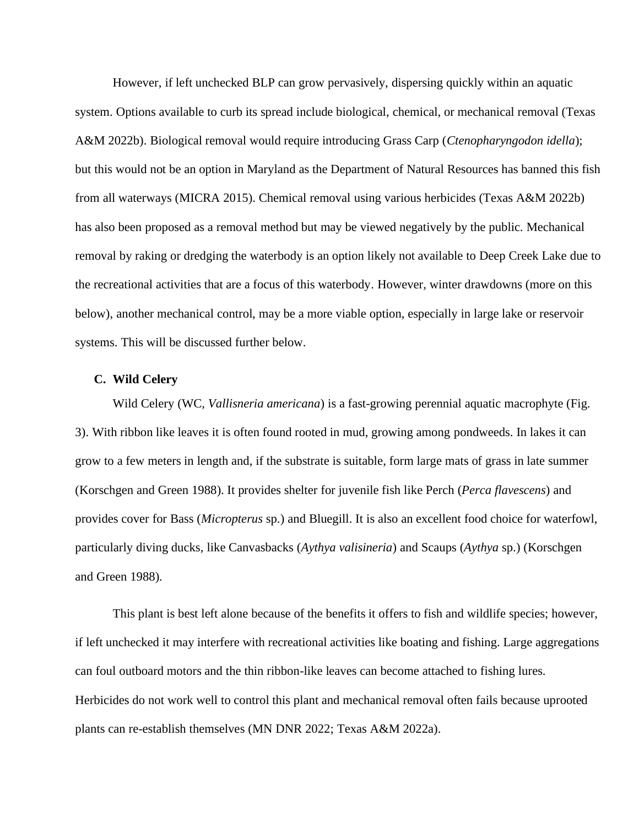However, if left unchecked BLP can grow pervasively, dispersing quickly within an aquatic system. Options available to curb its spread include biological, chemical, or mechanical removal (Texas A&M 2022b). Biological removal would require introducing Grass Carp (*Ctenopharyngodon idella*); but this would not be an option in Maryland as the Department of Natural Resources has banned this fish from all waterways (MICRA 2015). Chemical removal using various herbicides (Texas A&M 2022b) has also been proposed as a removal method but may be viewed negatively by the public. Mechanical removal by raking or dredging the waterbody is an option likely not available to Deep Creek Lake due to the recreational activities that are a focus of this waterbody. However, winter drawdowns (more on this below), another mechanical control, may be a more viable option, especially in large lake or reservoir systems. This will be discussed further below.

# **C. Wild Celery**

Wild Celery (WC, *Vallisneria americana*) is a fast-growing perennial aquatic macrophyte (Fig. 3). With ribbon like leaves it is often found rooted in mud, growing among pondweeds. In lakes it can grow to a few meters in length and, if the substrate is suitable, form large mats of grass in late summer (Korschgen and Green 1988). It provides shelter for juvenile fish like Perch (*Perca flavescens*) and provides cover for Bass (*Micropterus* sp.) and Bluegill. It is also an excellent food choice for waterfowl, particularly diving ducks, like Canvasbacks (*Aythya valisineria*) and Scaups (*Aythya* sp.) (Korschgen and Green 1988).

This plant is best left alone because of the benefits it offers to fish and wildlife species; however, if left unchecked it may interfere with recreational activities like boating and fishing. Large aggregations can foul outboard motors and the thin ribbon-like leaves can become attached to fishing lures. Herbicides do not work well to control this plant and mechanical removal often fails because uprooted plants can re-establish themselves (MN DNR 2022; Texas A&M 2022a).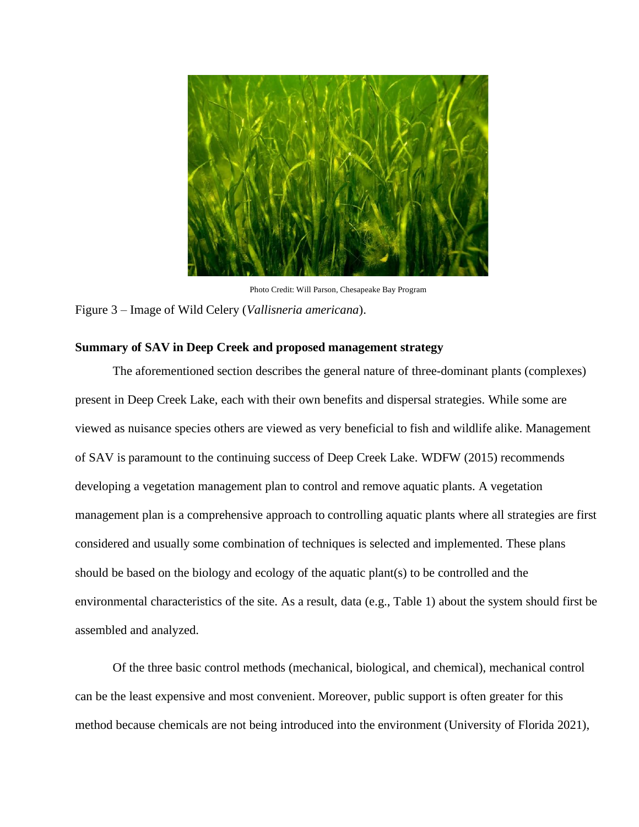

Photo Credit: Will Parson, Chesapeake Bay Program Figure 3 – Image of Wild Celery (*Vallisneria americana*).

# **Summary of SAV in Deep Creek and proposed management strategy**

The aforementioned section describes the general nature of three-dominant plants (complexes) present in Deep Creek Lake, each with their own benefits and dispersal strategies. While some are viewed as nuisance species others are viewed as very beneficial to fish and wildlife alike. Management of SAV is paramount to the continuing success of Deep Creek Lake. WDFW (2015) recommends developing a vegetation management plan to control and remove aquatic plants. A vegetation management plan is a comprehensive approach to controlling aquatic plants where all strategies are first considered and usually some combination of techniques is selected and implemented. These plans should be based on the biology and ecology of the aquatic plant(s) to be controlled and the environmental characteristics of the site. As a result, data (e.g., Table 1) about the system should first be assembled and analyzed.

Of the three basic control methods (mechanical, biological, and chemical), mechanical control can be the least expensive and most convenient. Moreover, public support is often greater for this method because chemicals are not being introduced into the environment (University of Florida 2021),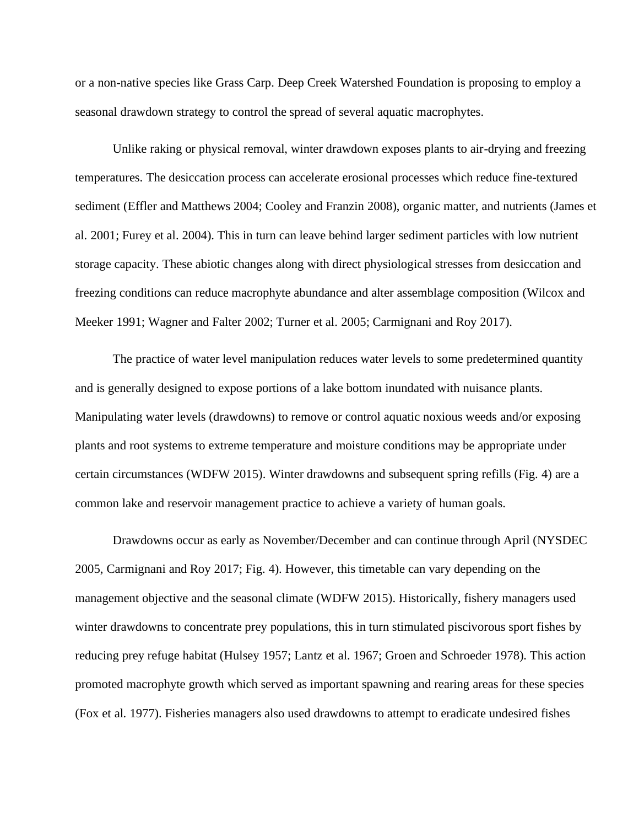or a non-native species like Grass Carp. Deep Creek Watershed Foundation is proposing to employ a seasonal drawdown strategy to control the spread of several aquatic macrophytes.

Unlike raking or physical removal, winter drawdown exposes plants to air-drying and freezing temperatures. The desiccation process can accelerate erosional processes which reduce fine-textured sediment (Effler and Matthews 2004; Cooley and Franzin 2008), organic matter, and nutrients (James et al. 2001; Furey et al. 2004). This in turn can leave behind larger sediment particles with low nutrient storage capacity. These abiotic changes along with direct physiological stresses from desiccation and freezing conditions can reduce macrophyte abundance and alter assemblage composition (Wilcox and Meeker 1991; Wagner and Falter 2002; Turner et al. 2005; Carmignani and Roy 2017).

The practice of water level manipulation reduces water levels to some predetermined quantity and is generally designed to expose portions of a lake bottom inundated with nuisance plants. Manipulating water levels (drawdowns) to remove or control aquatic noxious weeds and/or exposing plants and root systems to extreme temperature and moisture conditions may be appropriate under certain circumstances (WDFW 2015). Winter drawdowns and subsequent spring refills (Fig. 4) are a common lake and reservoir management practice to achieve a variety of human goals.

Drawdowns occur as early as November/December and can continue through April (NYSDEC 2005, Carmignani and Roy 2017; Fig. 4). However, this timetable can vary depending on the management objective and the seasonal climate (WDFW 2015). Historically, fishery managers used winter drawdowns to concentrate prey populations, this in turn stimulated piscivorous sport fishes by reducing prey refuge habitat (Hulsey 1957; Lantz et al. 1967; Groen and Schroeder 1978). This action promoted macrophyte growth which served as important spawning and rearing areas for these species (Fox et al. 1977). Fisheries managers also used drawdowns to attempt to eradicate undesired fishes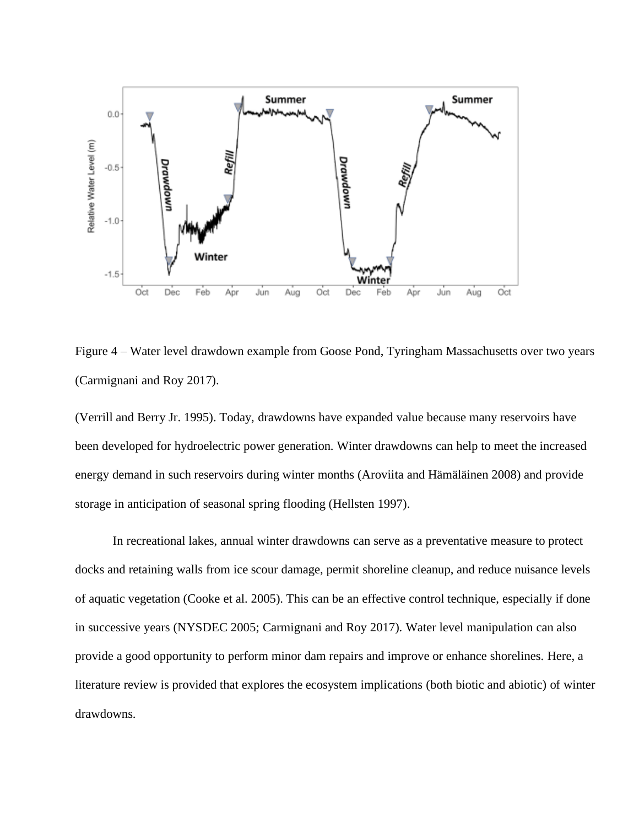

Figure 4 – Water level drawdown example from Goose Pond, Tyringham Massachusetts over two years (Carmignani and Roy 2017).

(Verrill and Berry Jr. 1995). Today, drawdowns have expanded value because many reservoirs have been developed for hydroelectric power generation. Winter drawdowns can help to meet the increased energy demand in such reservoirs during winter months (Aroviita and Hämäläinen 2008) and provide storage in anticipation of seasonal spring flooding (Hellsten 1997).

In recreational lakes, annual winter drawdowns can serve as a preventative measure to protect docks and retaining walls from ice scour damage, permit shoreline cleanup, and reduce nuisance levels of aquatic vegetation (Cooke et al. 2005). This can be an effective control technique, especially if done in successive years (NYSDEC 2005; Carmignani and Roy 2017). Water level manipulation can also provide a good opportunity to perform minor dam repairs and improve or enhance shorelines. Here, a literature review is provided that explores the ecosystem implications (both biotic and abiotic) of winter drawdowns.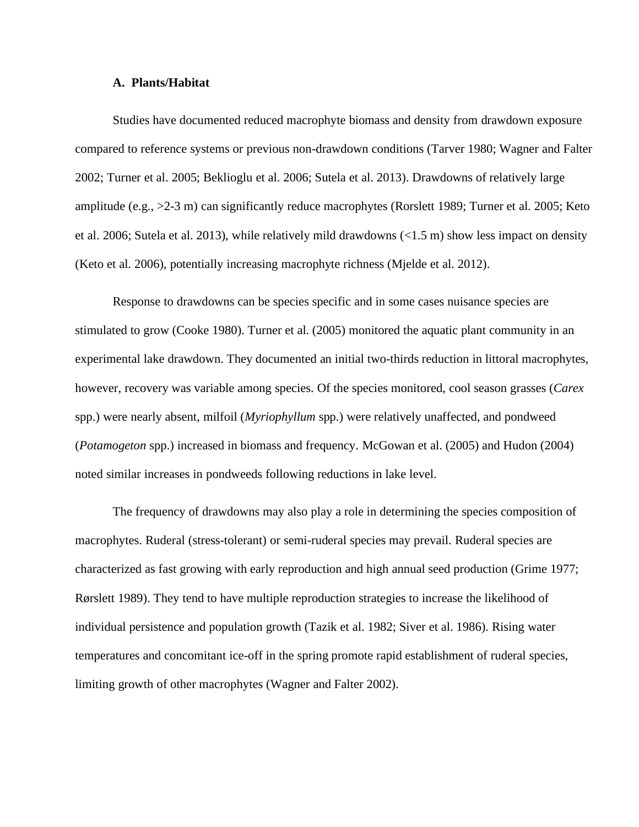#### **A. Plants/Habitat**

Studies have documented reduced macrophyte biomass and density from drawdown exposure compared to reference systems or previous non-drawdown conditions (Tarver 1980; Wagner and Falter 2002; Turner et al. 2005; Beklioglu et al. 2006; Sutela et al. 2013). Drawdowns of relatively large amplitude (e.g., >2-3 m) can significantly reduce macrophytes (Rorslett 1989; Turner et al. 2005; Keto et al. 2006; Sutela et al. 2013), while relatively mild drawdowns (<1.5 m) show less impact on density (Keto et al. 2006), potentially increasing macrophyte richness (Mjelde et al. 2012).

Response to drawdowns can be species specific and in some cases nuisance species are stimulated to grow (Cooke 1980). Turner et al. (2005) monitored the aquatic plant community in an experimental lake drawdown. They documented an initial two-thirds reduction in littoral macrophytes, however, recovery was variable among species. Of the species monitored, cool season grasses (*Carex* spp.) were nearly absent, milfoil (*Myriophyllum* spp.) were relatively unaffected, and pondweed (*Potamogeton* spp.) increased in biomass and frequency. McGowan et al. (2005) and Hudon (2004) noted similar increases in pondweeds following reductions in lake level.

The frequency of drawdowns may also play a role in determining the species composition of macrophytes. Ruderal (stress-tolerant) or semi-ruderal species may prevail. Ruderal species are characterized as fast growing with early reproduction and high annual seed production (Grime 1977; Rørslett 1989). They tend to have multiple reproduction strategies to increase the likelihood of individual persistence and population growth (Tazik et al. 1982; Siver et al. 1986). Rising water temperatures and concomitant ice-off in the spring promote rapid establishment of ruderal species, limiting growth of other macrophytes (Wagner and Falter 2002).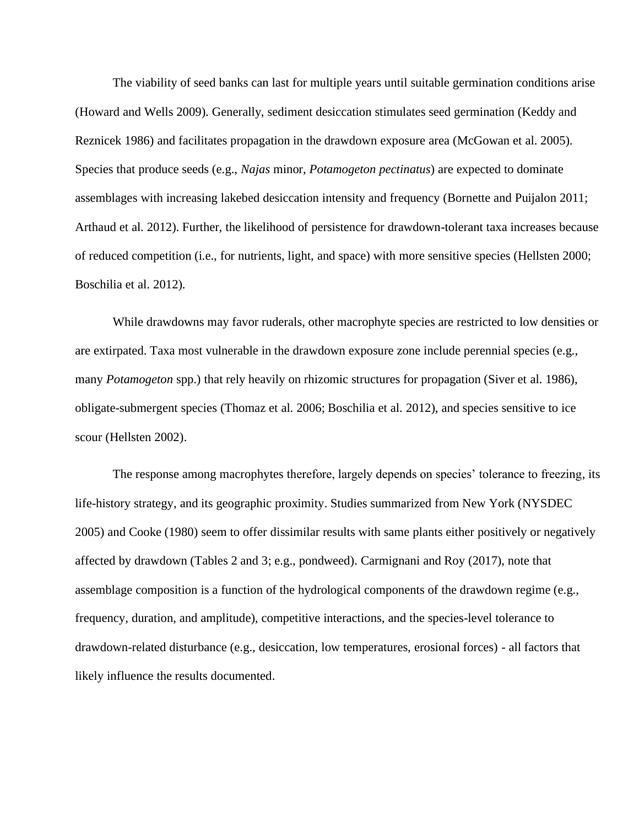The viability of seed banks can last for multiple years until suitable germination conditions arise (Howard and Wells 2009). Generally, sediment desiccation stimulates seed germination (Keddy and Reznicek 1986) and facilitates propagation in the drawdown exposure area (McGowan et al. 2005). Species that produce seeds (e.g., *Najas* minor, *Potamogeton pectinatus*) are expected to dominate assemblages with increasing lakebed desiccation intensity and frequency (Bornette and Puijalon 2011; Arthaud et al. 2012). Further, the likelihood of persistence for drawdown-tolerant taxa increases because of reduced competition (i.e., for nutrients, light, and space) with more sensitive species (Hellsten 2000; Boschilia et al. 2012).

While drawdowns may favor ruderals, other macrophyte species are restricted to low densities or are extirpated. Taxa most vulnerable in the drawdown exposure zone include perennial species (e.g., many *Potamogeton* spp.) that rely heavily on rhizomic structures for propagation (Siver et al. 1986), obligate-submergent species (Thomaz et al. 2006; Boschilia et al. 2012), and species sensitive to ice scour (Hellsten 2002).

The response among macrophytes therefore, largely depends on species' tolerance to freezing, its life-history strategy, and its geographic proximity. Studies summarized from New York (NYSDEC 2005) and Cooke (1980) seem to offer dissimilar results with same plants either positively or negatively affected by drawdown (Tables 2 and 3; e.g., pondweed). Carmignani and Roy (2017), note that assemblage composition is a function of the hydrological components of the drawdown regime (e.g., frequency, duration, and amplitude), competitive interactions, and the species-level tolerance to drawdown-related disturbance (e.g., desiccation, low temperatures, erosional forces) - all factors that likely influence the results documented.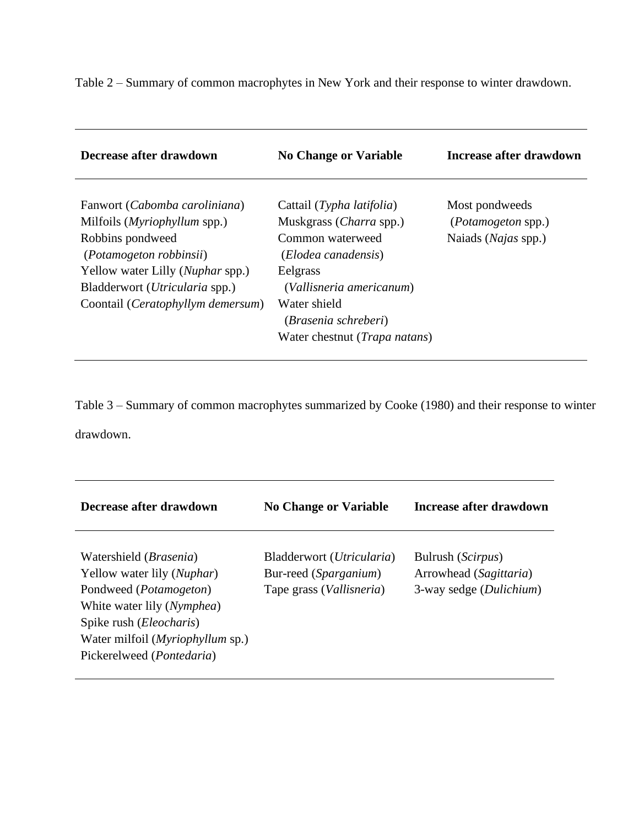Table 2 – Summary of common macrophytes in New York and their response to winter drawdown.

| Decrease after drawdown                                                                                                                                                                                                                  | <b>No Change or Variable</b>                                                                                                                                                                                                      | Increase after drawdown                                                    |
|------------------------------------------------------------------------------------------------------------------------------------------------------------------------------------------------------------------------------------------|-----------------------------------------------------------------------------------------------------------------------------------------------------------------------------------------------------------------------------------|----------------------------------------------------------------------------|
| Fanwort (Cabomba caroliniana)<br>Milfoils ( <i>Myriophyllum</i> spp.)<br>Robbins pondweed<br>(Potamogeton robbinsii)<br>Yellow water Lilly ( <i>Nuphar spp.</i> )<br>Bladderwort (Utricularia spp.)<br>Coontail (Ceratophyllym demersum) | Cattail (Typha latifolia)<br>Muskgrass ( <i>Charra</i> spp.)<br>Common waterweed<br>(Elodea canadensis)<br>Eelgrass<br>(Vallisneria americanum)<br>Water shield<br>(Brasenia schreberi)<br>Water chestnut ( <i>Trapa natans</i> ) | Most pondweeds<br><i>(Potamogeton spp.)</i><br>Naiads ( <i>Najas</i> spp.) |

Table 3 – Summary of common macrophytes summarized by Cooke (1980) and their response to winter drawdown.

| Decrease after drawdown                                                                                                                                                                                                                                                | <b>No Change or Variable</b>                                                            | Increase after drawdown                                                         |
|------------------------------------------------------------------------------------------------------------------------------------------------------------------------------------------------------------------------------------------------------------------------|-----------------------------------------------------------------------------------------|---------------------------------------------------------------------------------|
| Watershield ( <i>Brasenia</i> )<br>Yellow water lily ( <i>Nuphar</i> )<br>Pondweed ( <i>Potamogeton</i> )<br>White water lily ( <i>Nymphea</i> )<br>Spike rush ( <i>Eleocharis</i> )<br>Water milfoil ( <i>Myriophyllum</i> sp.)<br>Pickerelweed ( <i>Pontedaria</i> ) | Bladderwort (Utricularia)<br>Bur-reed (Sparganium)<br>Tape grass ( <i>Vallisneria</i> ) | Bulrush ( <i>Scirpus</i> )<br>Arrowhead (Sagittaria)<br>3-way sedge (Dulichium) |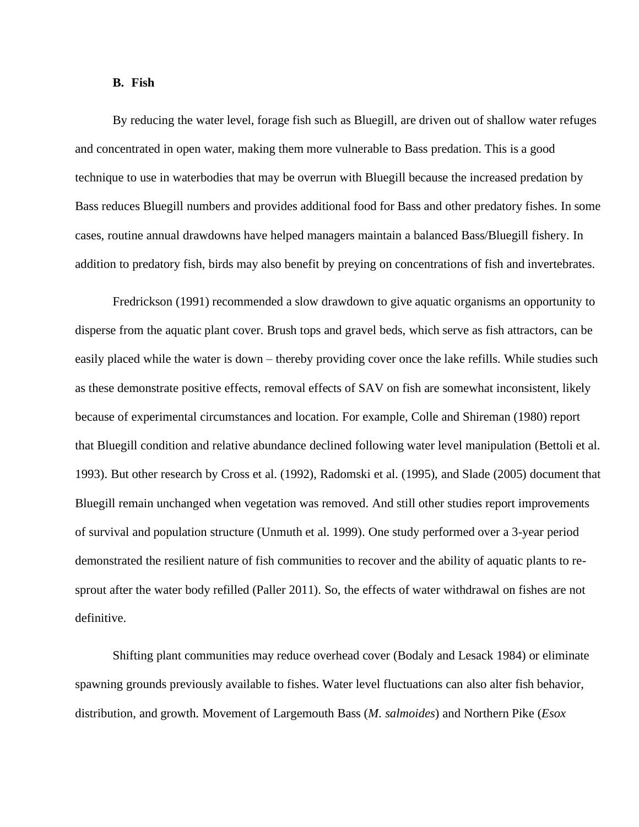#### **B. Fish**

By reducing the water level, forage fish such as Bluegill, are driven out of shallow water refuges and concentrated in open water, making them more vulnerable to Bass predation. This is a good technique to use in waterbodies that may be overrun with Bluegill because the increased predation by Bass reduces Bluegill numbers and provides additional food for Bass and other predatory fishes. In some cases, routine annual drawdowns have helped managers maintain a balanced Bass/Bluegill fishery. In addition to predatory fish, birds may also benefit by preying on concentrations of fish and invertebrates.

Fredrickson (1991) recommended a slow drawdown to give aquatic organisms an opportunity to disperse from the aquatic plant cover. Brush tops and gravel beds, which serve as fish attractors, can be easily placed while the water is down – thereby providing cover once the lake refills. While studies such as these demonstrate positive effects, removal effects of SAV on fish are somewhat inconsistent, likely because of experimental circumstances and location. For example, Colle and Shireman (1980) report that Bluegill condition and relative abundance declined following water level manipulation (Bettoli et al. 1993). But other research by Cross et al. (1992), Radomski et al. (1995), and Slade (2005) document that Bluegill remain unchanged when vegetation was removed. And still other studies report improvements of survival and population structure (Unmuth et al. 1999). One study performed over a 3-year period demonstrated the resilient nature of fish communities to recover and the ability of aquatic plants to resprout after the water body refilled (Paller 2011). So, the effects of water withdrawal on fishes are not definitive.

Shifting plant communities may reduce overhead cover (Bodaly and Lesack 1984) or eliminate spawning grounds previously available to fishes. Water level fluctuations can also alter fish behavior, distribution, and growth. Movement of Largemouth Bass (*M. salmoides*) and Northern Pike (*Esox*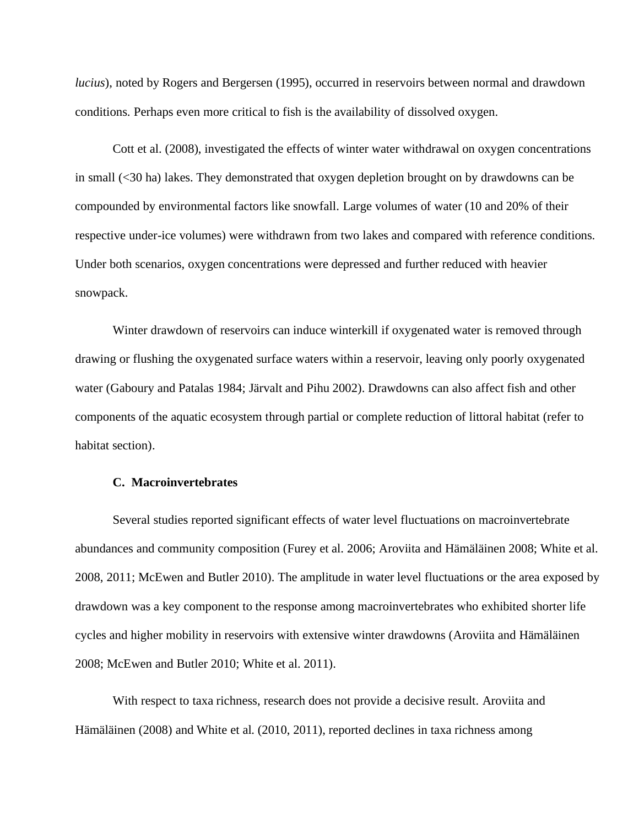*lucius*), noted by Rogers and Bergersen (1995), occurred in reservoirs between normal and drawdown conditions. Perhaps even more critical to fish is the availability of dissolved oxygen.

Cott et al. (2008), investigated the effects of winter water withdrawal on oxygen concentrations in small (<30 ha) lakes. They demonstrated that oxygen depletion brought on by drawdowns can be compounded by environmental factors like snowfall. Large volumes of water (10 and 20% of their respective under-ice volumes) were withdrawn from two lakes and compared with reference conditions. Under both scenarios, oxygen concentrations were depressed and further reduced with heavier snowpack.

Winter drawdown of reservoirs can induce winterkill if oxygenated water is removed through drawing or flushing the oxygenated surface waters within a reservoir, leaving only poorly oxygenated water (Gaboury and Patalas 1984; Järvalt and Pihu 2002). Drawdowns can also affect fish and other components of the aquatic ecosystem through partial or complete reduction of littoral habitat (refer to habitat section).

### **C. Macroinvertebrates**

Several studies reported significant effects of water level fluctuations on macroinvertebrate abundances and community composition (Furey et al. 2006; Aroviita and Hämäläinen 2008; White et al. 2008, 2011; McEwen and Butler 2010). The amplitude in water level fluctuations or the area exposed by drawdown was a key component to the response among macroinvertebrates who exhibited shorter life cycles and higher mobility in reservoirs with extensive winter drawdowns (Aroviita and Hämäläinen 2008; McEwen and Butler 2010; White et al. 2011).

With respect to taxa richness, research does not provide a decisive result. Aroviita and Hämäläinen (2008) and White et al. (2010, 2011), reported declines in taxa richness among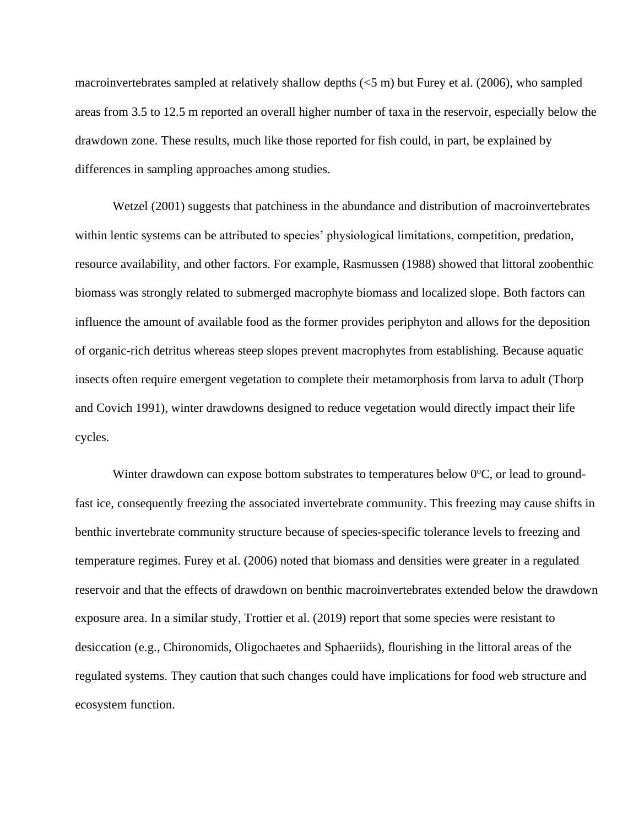macroinvertebrates sampled at relatively shallow depths (<5 m) but Furey et al. (2006), who sampled areas from 3.5 to 12.5 m reported an overall higher number of taxa in the reservoir, especially below the drawdown zone. These results, much like those reported for fish could, in part, be explained by differences in sampling approaches among studies.

Wetzel (2001) suggests that patchiness in the abundance and distribution of macroinvertebrates within lentic systems can be attributed to species' physiological limitations, competition, predation, resource availability, and other factors. For example, Rasmussen (1988) showed that littoral zoobenthic biomass was strongly related to submerged macrophyte biomass and localized slope. Both factors can influence the amount of available food as the former provides periphyton and allows for the deposition of organic-rich detritus whereas steep slopes prevent macrophytes from establishing. Because aquatic insects often require emergent vegetation to complete their metamorphosis from larva to adult (Thorp and Covich 1991), winter drawdowns designed to reduce vegetation would directly impact their life cycles.

Winter drawdown can expose bottom substrates to temperatures below  $0^{\circ}C$ , or lead to groundfast ice, consequently freezing the associated invertebrate community. This freezing may cause shifts in benthic invertebrate community structure because of species-specific tolerance levels to freezing and temperature regimes. Furey et al. (2006) noted that biomass and densities were greater in a regulated reservoir and that the effects of drawdown on benthic macroinvertebrates extended below the drawdown exposure area. In a similar study, Trottier et al. (2019) report that some species were resistant to desiccation (e.g., Chironomids, Oligochaetes and Sphaeriids), flourishing in the littoral areas of the regulated systems. They caution that such changes could have implications for food web structure and ecosystem function.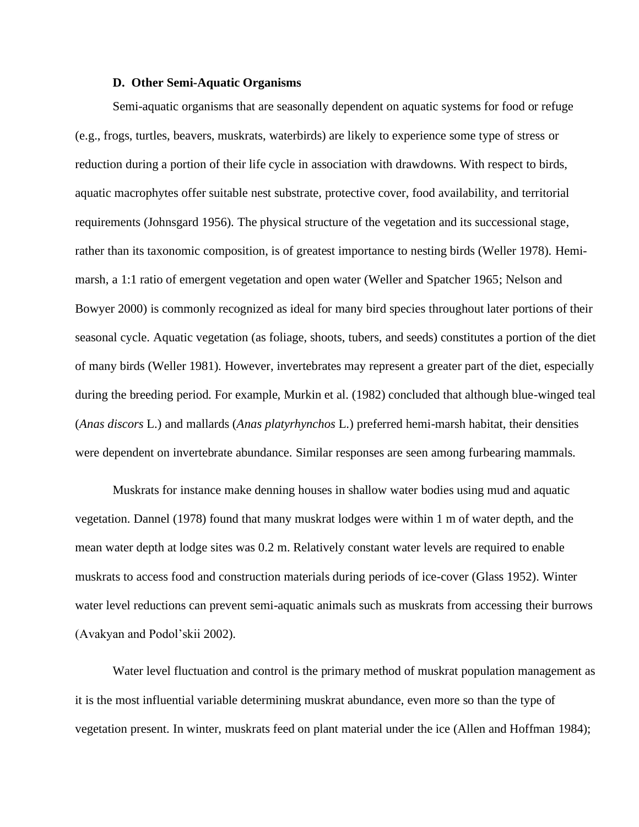#### **D. Other Semi-Aquatic Organisms**

Semi-aquatic organisms that are seasonally dependent on aquatic systems for food or refuge (e.g., frogs, turtles, beavers, muskrats, waterbirds) are likely to experience some type of stress or reduction during a portion of their life cycle in association with drawdowns. With respect to birds, aquatic macrophytes offer suitable nest substrate, protective cover, food availability, and territorial requirements (Johnsgard 1956). The physical structure of the vegetation and its successional stage, rather than its taxonomic composition, is of greatest importance to nesting birds (Weller 1978). Hemimarsh, a 1:1 ratio of emergent vegetation and open water (Weller and Spatcher 1965; Nelson and Bowyer 2000) is commonly recognized as ideal for many bird species throughout later portions of their seasonal cycle. Aquatic vegetation (as foliage, shoots, tubers, and seeds) constitutes a portion of the diet of many birds (Weller 1981). However, invertebrates may represent a greater part of the diet, especially during the breeding period. For example, Murkin et al. (1982) concluded that although blue-winged teal (*Anas discors* L.) and mallards (*Anas platyrhynchos* L.) preferred hemi-marsh habitat, their densities were dependent on invertebrate abundance. Similar responses are seen among furbearing mammals.

Muskrats for instance make denning houses in shallow water bodies using mud and aquatic vegetation. Dannel (1978) found that many muskrat lodges were within 1 m of water depth, and the mean water depth at lodge sites was 0.2 m. Relatively constant water levels are required to enable muskrats to access food and construction materials during periods of ice-cover (Glass 1952). Winter water level reductions can prevent semi-aquatic animals such as muskrats from accessing their burrows (Avakyan and Podol'skii 2002).

Water level fluctuation and control is the primary method of muskrat population management as it is the most influential variable determining muskrat abundance, even more so than the type of vegetation present. In winter, muskrats feed on plant material under the ice (Allen and Hoffman 1984);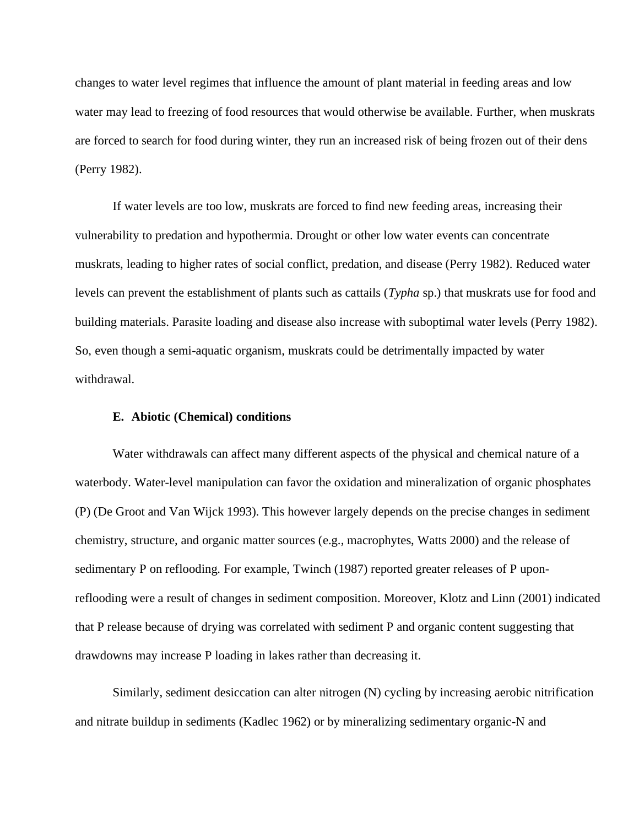changes to water level regimes that influence the amount of plant material in feeding areas and low water may lead to freezing of food resources that would otherwise be available. Further, when muskrats are forced to search for food during winter, they run an increased risk of being frozen out of their dens (Perry 1982).

If water levels are too low, muskrats are forced to find new feeding areas, increasing their vulnerability to predation and hypothermia. Drought or other low water events can concentrate muskrats, leading to higher rates of social conflict, predation, and disease (Perry 1982). Reduced water levels can prevent the establishment of plants such as cattails (*Typha* sp.) that muskrats use for food and building materials. Parasite loading and disease also increase with suboptimal water levels (Perry 1982). So, even though a semi-aquatic organism, muskrats could be detrimentally impacted by water withdrawal.

### **E. Abiotic (Chemical) conditions**

Water withdrawals can affect many different aspects of the physical and chemical nature of a waterbody. Water-level manipulation can favor the oxidation and mineralization of organic phosphates (P) (De Groot and Van Wijck 1993). This however largely depends on the precise changes in sediment chemistry, structure, and organic matter sources (e.g., macrophytes, Watts 2000) and the release of sedimentary P on reflooding. For example, Twinch (1987) reported greater releases of P uponreflooding were a result of changes in sediment composition. Moreover, Klotz and Linn (2001) indicated that P release because of drying was correlated with sediment P and organic content suggesting that drawdowns may increase P loading in lakes rather than decreasing it.

Similarly, sediment desiccation can alter nitrogen (N) cycling by increasing aerobic nitrification and nitrate buildup in sediments (Kadlec 1962) or by mineralizing sedimentary organic-N and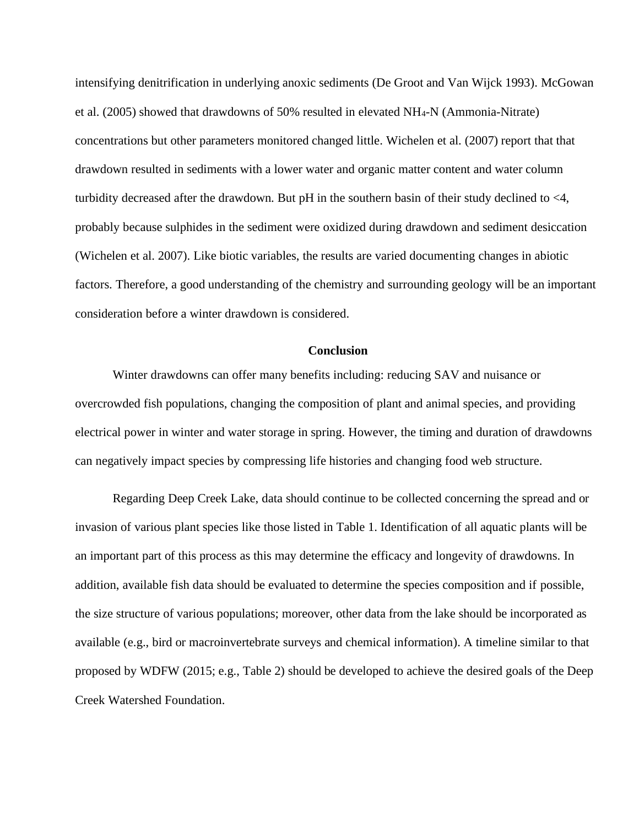intensifying denitrification in underlying anoxic sediments (De Groot and Van Wijck 1993). McGowan et al. (2005) showed that drawdowns of 50% resulted in elevated NH4-N (Ammonia-Nitrate) concentrations but other parameters monitored changed little. Wichelen et al. (2007) report that that drawdown resulted in sediments with a lower water and organic matter content and water column turbidity decreased after the drawdown. But pH in the southern basin of their study declined to <4, probably because sulphides in the sediment were oxidized during drawdown and sediment desiccation (Wichelen et al. 2007). Like biotic variables, the results are varied documenting changes in abiotic factors. Therefore, a good understanding of the chemistry and surrounding geology will be an important consideration before a winter drawdown is considered.

## **Conclusion**

Winter drawdowns can offer many benefits including: reducing SAV and nuisance or overcrowded fish populations, changing the composition of plant and animal species, and providing electrical power in winter and water storage in spring. However, the timing and duration of drawdowns can negatively impact species by compressing life histories and changing food web structure.

Regarding Deep Creek Lake, data should continue to be collected concerning the spread and or invasion of various plant species like those listed in Table 1. Identification of all aquatic plants will be an important part of this process as this may determine the efficacy and longevity of drawdowns. In addition, available fish data should be evaluated to determine the species composition and if possible, the size structure of various populations; moreover, other data from the lake should be incorporated as available (e.g., bird or macroinvertebrate surveys and chemical information). A timeline similar to that proposed by WDFW (2015; e.g., Table 2) should be developed to achieve the desired goals of the Deep Creek Watershed Foundation.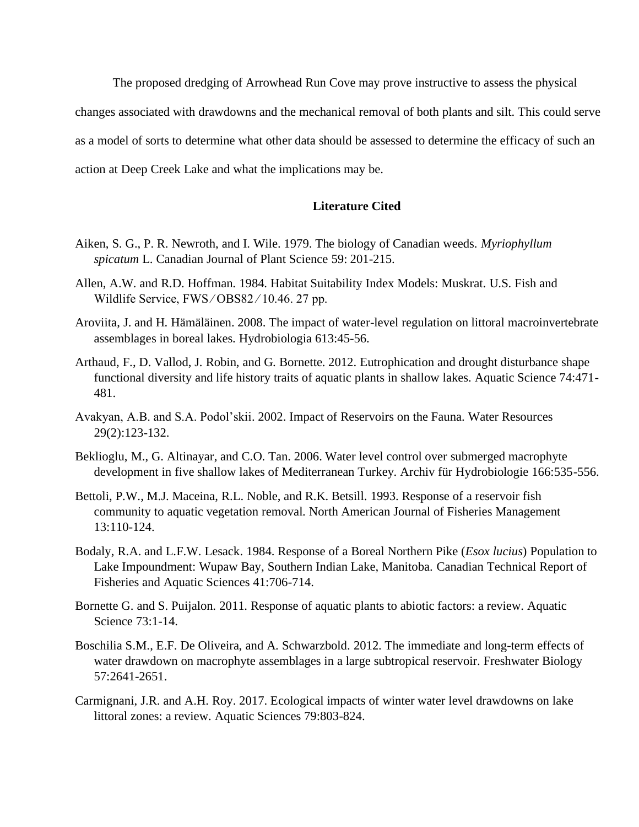The proposed dredging of Arrowhead Run Cove may prove instructive to assess the physical changes associated with drawdowns and the mechanical removal of both plants and silt. This could serve as a model of sorts to determine what other data should be assessed to determine the efficacy of such an action at Deep Creek Lake and what the implications may be.

# **Literature Cited**

- Aiken, S. G., P. R. Newroth, and I. Wile. 1979. The biology of Canadian weeds. *Myriophyllum spicatum* L. Canadian Journal of Plant Science 59: 201-215.
- Allen, A.W. and R.D. Hoffman. 1984. Habitat Suitability Index Models: Muskrat. U.S. Fish and Wildlife Service, FWS/OBS82/10.46.27 pp.
- Aroviita, J. and H. Hämäläinen. 2008. The impact of water-level regulation on littoral macroinvertebrate assemblages in boreal lakes. Hydrobiologia 613:45-56.
- Arthaud, F., D. Vallod, J. Robin, and G. Bornette. 2012. Eutrophication and drought disturbance shape functional diversity and life history traits of aquatic plants in shallow lakes. Aquatic Science 74:471- 481.
- Avakyan, A.B. and S.A. Podol'skii. 2002. Impact of Reservoirs on the Fauna. Water Resources 29(2):123-132.
- Beklioglu, M., G. Altinayar, and C.O. Tan. 2006. Water level control over submerged macrophyte development in five shallow lakes of Mediterranean Turkey. Archiv für Hydrobiologie 166:535-556.
- Bettoli, P.W., M.J. Maceina, R.L. Noble, and R.K. Betsill. 1993. Response of a reservoir fish community to aquatic vegetation removal. North American Journal of Fisheries Management 13:110-124.
- Bodaly, R.A. and L.F.W. Lesack. 1984. Response of a Boreal Northern Pike (*Esox lucius*) Population to Lake Impoundment: Wupaw Bay, Southern Indian Lake, Manitoba. Canadian Technical Report of Fisheries and Aquatic Sciences 41:706-714.
- Bornette G. and S. Puijalon. 2011. Response of aquatic plants to abiotic factors: a review. Aquatic Science 73:1-14.
- Boschilia S.M., E.F. De Oliveira, and A. Schwarzbold. 2012. The immediate and long-term effects of water drawdown on macrophyte assemblages in a large subtropical reservoir. Freshwater Biology 57:2641-2651.
- Carmignani, J.R. and A.H. Roy. 2017. Ecological impacts of winter water level drawdowns on lake littoral zones: a review. Aquatic Sciences 79:803-824.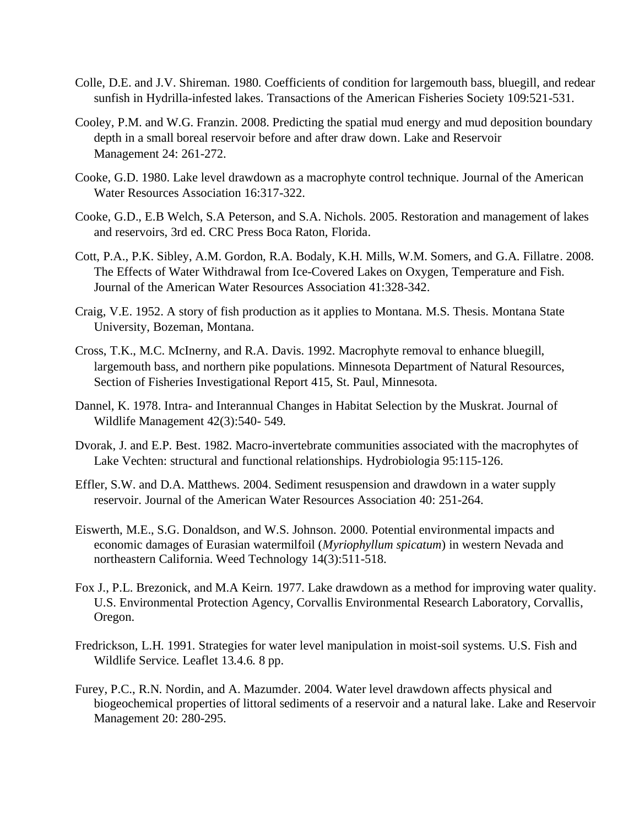- Colle, D.E. and J.V. Shireman. 1980. Coefficients of condition for largemouth bass, bluegill, and redear sunfish in Hydrilla-infested lakes. Transactions of the American Fisheries Society 109:521-531.
- Cooley, P.M. and W.G. Franzin. 2008. Predicting the spatial mud energy and mud deposition boundary depth in a small boreal reservoir before and after draw down. Lake and Reservoir Management 24: 261-272.
- Cooke, G.D. 1980. Lake level drawdown as a macrophyte control technique. Journal of the American Water Resources Association 16:317-322.
- Cooke, G.D., E.B Welch, S.A Peterson, and S.A. Nichols. 2005. Restoration and management of lakes and reservoirs, 3rd ed. CRC Press Boca Raton, Florida.
- Cott, P.A., P.K. Sibley, A.M. Gordon, R.A. Bodaly, K.H. Mills, W.M. Somers, and G.A. Fillatre. 2008. The Effects of Water Withdrawal from Ice-Covered Lakes on Oxygen, Temperature and Fish. Journal of the American Water Resources Association 41:328-342.
- Craig, V.E. 1952. A story of fish production as it applies to Montana. M.S. Thesis. Montana State University, Bozeman, Montana.
- Cross, T.K., M.C. McInerny, and R.A. Davis. 1992. Macrophyte removal to enhance bluegill, largemouth bass, and northern pike populations. Minnesota Department of Natural Resources, Section of Fisheries Investigational Report 415, St. Paul, Minnesota.
- Dannel, K. 1978. Intra- and Interannual Changes in Habitat Selection by the Muskrat. Journal of Wildlife Management 42(3):540- 549.
- Dvorak, J. and E.P. Best. 1982. Macro-invertebrate communities associated with the macrophytes of Lake Vechten: structural and functional relationships. Hydrobiologia 95:115-126.
- Effler, S.W. and D.A. Matthews. 2004. Sediment resuspension and drawdown in a water supply reservoir. Journal of the American Water Resources Association 40: 251-264.
- Eiswerth, M.E., S.G. Donaldson, and W.S. Johnson. 2000. Potential environmental impacts and economic damages of Eurasian watermilfoil (*Myriophyllum spicatum*) in western Nevada and northeastern California. Weed Technology 14(3):511-518.
- Fox J., P.L. Brezonick, and M.A Keirn. 1977. Lake drawdown as a method for improving water quality. U.S. Environmental Protection Agency, Corvallis Environmental Research Laboratory, Corvallis, Oregon.
- Fredrickson, L.H. 1991. Strategies for water level manipulation in moist-soil systems. U.S. Fish and Wildlife Service. Leaflet 13.4.6. 8 pp.
- Furey, P.C., R.N. Nordin, and A. Mazumder. 2004. Water level drawdown affects physical and biogeochemical properties of littoral sediments of a reservoir and a natural lake. Lake and Reservoir Management 20: 280-295.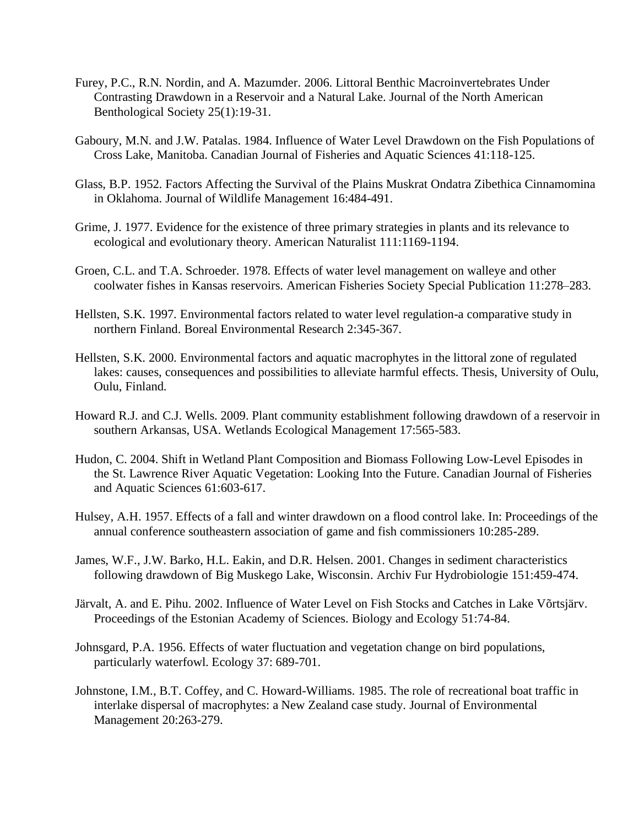- Furey, P.C., R.N. Nordin, and A. Mazumder. 2006. Littoral Benthic Macroinvertebrates Under Contrasting Drawdown in a Reservoir and a Natural Lake. Journal of the North American Benthological Society 25(1):19-31.
- Gaboury, M.N. and J.W. Patalas. 1984. Influence of Water Level Drawdown on the Fish Populations of Cross Lake, Manitoba. Canadian Journal of Fisheries and Aquatic Sciences 41:118-125.
- Glass, B.P. 1952. Factors Affecting the Survival of the Plains Muskrat Ondatra Zibethica Cinnamomina in Oklahoma. Journal of Wildlife Management 16:484-491.
- Grime, J. 1977. Evidence for the existence of three primary strategies in plants and its relevance to ecological and evolutionary theory. American Naturalist 111:1169-1194.
- Groen, C.L. and T.A. Schroeder. 1978. Effects of water level management on walleye and other coolwater fishes in Kansas reservoirs. American Fisheries Society Special Publication 11:278–283.
- Hellsten, S.K. 1997. Environmental factors related to water level regulation-a comparative study in northern Finland. Boreal Environmental Research 2:345-367.
- Hellsten, S.K. 2000. Environmental factors and aquatic macrophytes in the littoral zone of regulated lakes: causes, consequences and possibilities to alleviate harmful effects. Thesis, University of Oulu, Oulu, Finland.
- Howard R.J. and C.J. Wells. 2009. Plant community establishment following drawdown of a reservoir in southern Arkansas, USA. Wetlands Ecological Management 17:565-583.
- Hudon, C. 2004. Shift in Wetland Plant Composition and Biomass Following Low-Level Episodes in the St. Lawrence River Aquatic Vegetation: Looking Into the Future. Canadian Journal of Fisheries and Aquatic Sciences 61:603-617.
- Hulsey, A.H. 1957. Effects of a fall and winter drawdown on a flood control lake. In: Proceedings of the annual conference southeastern association of game and fish commissioners 10:285-289.
- James, W.F., J.W. Barko, H.L. Eakin, and D.R. Helsen. 2001. Changes in sediment characteristics following drawdown of Big Muskego Lake, Wisconsin. Archiv Fur Hydrobiologie 151:459-474.
- Järvalt, A. and E. Pihu. 2002. Influence of Water Level on Fish Stocks and Catches in Lake Võrtsjärv. Proceedings of the Estonian Academy of Sciences. Biology and Ecology 51:74-84.
- Johnsgard, P.A. 1956. Effects of water fluctuation and vegetation change on bird populations, particularly waterfowl. Ecology 37: 689-701.
- Johnstone, I.M., B.T. Coffey, and C. Howard-Williams. 1985. The role of recreational boat traffic in interlake dispersal of macrophytes: a New Zealand case study. Journal of Environmental Management 20:263-279.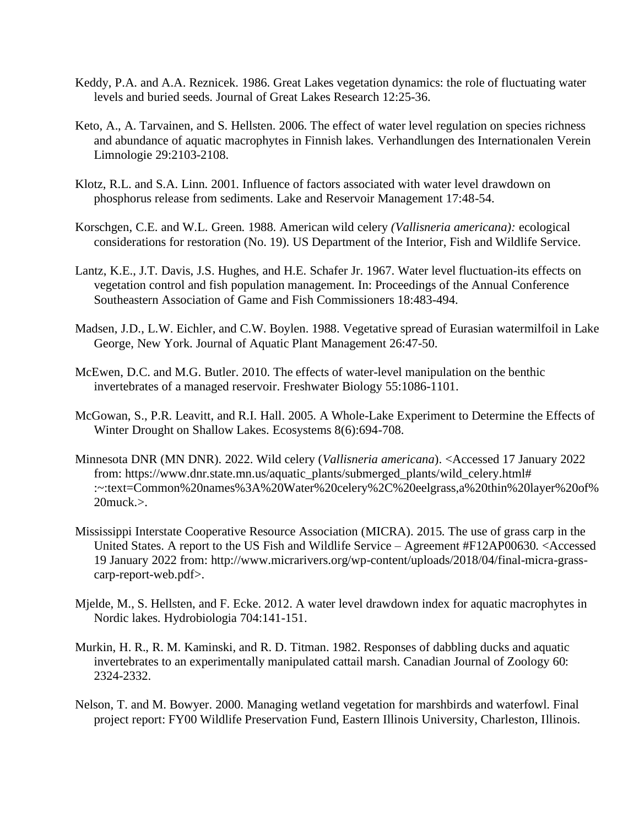- Keddy, P.A. and A.A. Reznicek. 1986. Great Lakes vegetation dynamics: the role of fluctuating water levels and buried seeds. Journal of Great Lakes Research 12:25-36.
- Keto, A., A. Tarvainen, and S. Hellsten. 2006. The effect of water level regulation on species richness and abundance of aquatic macrophytes in Finnish lakes. Verhandlungen des Internationalen Verein Limnologie 29:2103-2108.
- Klotz, R.L. and S.A. Linn. 2001. Influence of factors associated with water level drawdown on phosphorus release from sediments. Lake and Reservoir Management 17:48-54.
- Korschgen, C.E. and W.L. Green. 1988. American wild celery *(Vallisneria americana):* ecological considerations for restoration (No. 19). US Department of the Interior, Fish and Wildlife Service.
- Lantz, K.E., J.T. Davis, J.S. Hughes, and H.E. Schafer Jr. 1967. Water level fluctuation-its effects on vegetation control and fish population management. In: Proceedings of the Annual Conference Southeastern Association of Game and Fish Commissioners 18:483-494.
- Madsen, J.D., L.W. Eichler, and C.W. Boylen. 1988. Vegetative spread of Eurasian watermilfoil in Lake George, New York. Journal of Aquatic Plant Management 26:47-50.
- McEwen, D.C. and M.G. Butler. 2010. The effects of water-level manipulation on the benthic invertebrates of a managed reservoir. Freshwater Biology 55:1086-1101.
- McGowan, S., P.R. Leavitt, and R.I. Hall. 2005. A Whole-Lake Experiment to Determine the Effects of Winter Drought on Shallow Lakes. Ecosystems 8(6):694-708.
- Minnesota DNR (MN DNR). 2022. Wild celery (*Vallisneria americana*). <Accessed 17 January 2022 from: https://www.dnr.state.mn.us/aquatic\_plants/submerged\_plants/wild\_celery.html# :~:text=Common%20names%3A%20Water%20celery%2C%20eelgrass,a%20thin%20layer%20of%  $20$ muck. $>$ .
- Mississippi Interstate Cooperative Resource Association (MICRA). 2015. The use of grass carp in the United States. A report to the US Fish and Wildlife Service – Agreement #F12AP00630. <Accessed 19 January 2022 from: http://www.micrarivers.org/wp-content/uploads/2018/04/final-micra-grasscarp-report-web.pdf>.
- Mjelde, M., S. Hellsten, and F. Ecke. 2012. A water level drawdown index for aquatic macrophytes in Nordic lakes. Hydrobiologia 704:141-151.
- Murkin, H. R., R. M. Kaminski, and R. D. Titman. 1982. Responses of dabbling ducks and aquatic invertebrates to an experimentally manipulated cattail marsh. Canadian Journal of Zoology 60: 2324-2332.
- Nelson, T. and M. Bowyer. 2000. Managing wetland vegetation for marshbirds and waterfowl. Final project report: FY00 Wildlife Preservation Fund, Eastern Illinois University, Charleston, Illinois.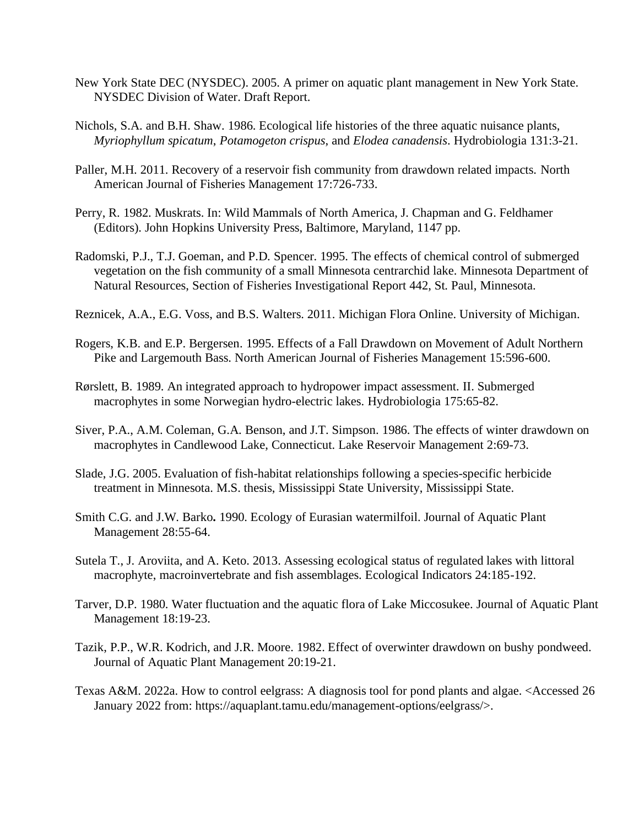- New York State DEC (NYSDEC). 2005. A primer on aquatic plant management in New York State. NYSDEC Division of Water. Draft Report.
- Nichols, S.A. and B.H. Shaw. 1986. Ecological life histories of the three aquatic nuisance plants, *Myriophyllum spicatum*, *Potamogeton crispus*, and *Elodea canadensis*. Hydrobiologia 131:3-21.
- Paller, M.H. 2011. Recovery of a reservoir fish community from drawdown related impacts. North American Journal of Fisheries Management 17:726-733.
- Perry, R. 1982. Muskrats. In: Wild Mammals of North America, J. Chapman and G. Feldhamer (Editors). John Hopkins University Press, Baltimore, Maryland, 1147 pp.
- Radomski, P.J., T.J. Goeman, and P.D. Spencer. 1995. The effects of chemical control of submerged vegetation on the fish community of a small Minnesota centrarchid lake. Minnesota Department of Natural Resources, Section of Fisheries Investigational Report 442, St. Paul, Minnesota.
- Reznicek, A.A., E.G. Voss, and B.S. Walters. 2011. Michigan Flora Online. University of Michigan.
- Rogers, K.B. and E.P. Bergersen. 1995. Effects of a Fall Drawdown on Movement of Adult Northern Pike and Largemouth Bass. North American Journal of Fisheries Management 15:596-600.
- Rørslett, B. 1989. An integrated approach to hydropower impact assessment. II. Submerged macrophytes in some Norwegian hydro-electric lakes. Hydrobiologia 175:65-82.
- Siver, P.A., A.M. Coleman, G.A. Benson, and J.T. Simpson. 1986. The effects of winter drawdown on macrophytes in Candlewood Lake, Connecticut. Lake Reservoir Management 2:69-73.
- Slade, J.G. 2005. Evaluation of fish-habitat relationships following a species-specific herbicide treatment in Minnesota. M.S. thesis, Mississippi State University, Mississippi State.
- Smith C.G. and J.W. Barko**.** 1990. Ecology of Eurasian watermilfoil. Journal of Aquatic Plant Management 28:55-64.
- Sutela T., J. Aroviita, and A. Keto. 2013. Assessing ecological status of regulated lakes with littoral macrophyte, macroinvertebrate and fish assemblages. Ecological Indicators 24:185-192.
- Tarver, D.P. 1980. Water fluctuation and the aquatic flora of Lake Miccosukee. Journal of Aquatic Plant Management 18:19-23.
- Tazik, P.P., W.R. Kodrich, and J.R. Moore. 1982. Effect of overwinter drawdown on bushy pondweed. Journal of Aquatic Plant Management 20:19-21.
- Texas A&M. 2022a. How to control eelgrass: A diagnosis tool for pond plants and algae. <Accessed 26 January 2022 from: https://aquaplant.tamu.edu/management-options/eelgrass/>.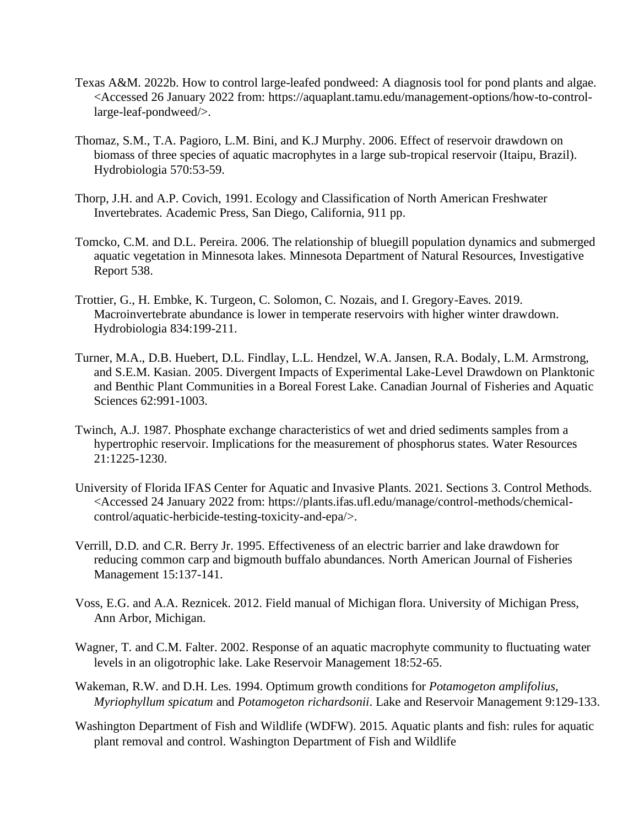- Texas A&M. 2022b. How to control large-leafed pondweed: A diagnosis tool for pond plants and algae. <Accessed 26 January 2022 from: https://aquaplant.tamu.edu/management-options/how-to-controllarge-leaf-pondweed/>.
- Thomaz, S.M., T.A. Pagioro, L.M. Bini, and K.J Murphy. 2006. Effect of reservoir drawdown on biomass of three species of aquatic macrophytes in a large sub-tropical reservoir (Itaipu, Brazil). Hydrobiologia 570:53-59.
- Thorp, J.H. and A.P. Covich, 1991. Ecology and Classification of North American Freshwater Invertebrates. Academic Press, San Diego, California, 911 pp.
- Tomcko, C.M. and D.L. Pereira. 2006. The relationship of bluegill population dynamics and submerged aquatic vegetation in Minnesota lakes. Minnesota Department of Natural Resources, Investigative Report 538.
- Trottier, G., H. Embke, K. Turgeon, C. Solomon, C. Nozais, and I. Gregory-Eaves. 2019. Macroinvertebrate abundance is lower in temperate reservoirs with higher winter drawdown. Hydrobiologia 834:199-211.
- Turner, M.A., D.B. Huebert, D.L. Findlay, L.L. Hendzel, W.A. Jansen, R.A. Bodaly, L.M. Armstrong, and S.E.M. Kasian. 2005. Divergent Impacts of Experimental Lake-Level Drawdown on Planktonic and Benthic Plant Communities in a Boreal Forest Lake. Canadian Journal of Fisheries and Aquatic Sciences 62:991-1003.
- Twinch, A.J. 1987. Phosphate exchange characteristics of wet and dried sediments samples from a hypertrophic reservoir. Implications for the measurement of phosphorus states. Water Resources 21:1225-1230.
- University of Florida IFAS Center for Aquatic and Invasive Plants. 2021. Sections 3. Control Methods. <Accessed 24 January 2022 from: https://plants.ifas.ufl.edu/manage/control-methods/chemicalcontrol/aquatic-herbicide-testing-toxicity-and-epa/>.
- Verrill, D.D. and C.R. Berry Jr. 1995. Effectiveness of an electric barrier and lake drawdown for reducing common carp and bigmouth buffalo abundances. North American Journal of Fisheries Management 15:137-141.
- Voss, E.G. and A.A. Reznicek. 2012. Field manual of Michigan flora. University of Michigan Press, Ann Arbor, Michigan.
- Wagner, T. and C.M. Falter. 2002. Response of an aquatic macrophyte community to fluctuating water levels in an oligotrophic lake. Lake Reservoir Management 18:52-65.
- Wakeman, R.W. and D.H. Les. 1994. Optimum growth conditions for *Potamogeton amplifolius*, *Myriophyllum spicatum* and *Potamogeton richardsonii*. Lake and Reservoir Management 9:129-133.
- Washington Department of Fish and Wildlife (WDFW). 2015. Aquatic plants and fish: rules for aquatic plant removal and control. Washington Department of Fish and Wildlife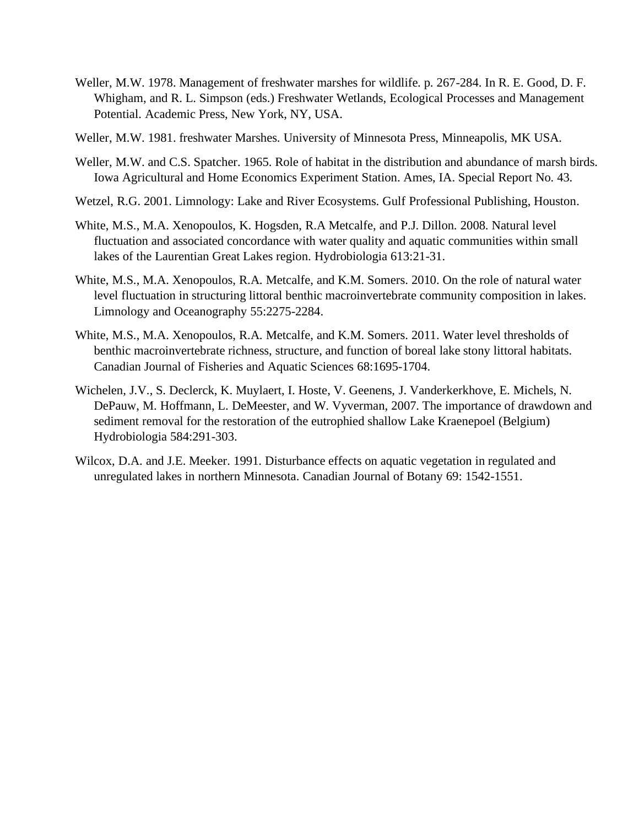- Weller, M.W. 1978. Management of freshwater marshes for wildlife. p. 267-284. In R. E. Good, D. F. Whigham, and R. L. Simpson (eds.) Freshwater Wetlands, Ecological Processes and Management Potential. Academic Press, New York, NY, USA.
- Weller, M.W. 1981. freshwater Marshes. University of Minnesota Press, Minneapolis, MK USA.
- Weller, M.W. and C.S. Spatcher. 1965. Role of habitat in the distribution and abundance of marsh birds. Iowa Agricultural and Home Economics Experiment Station. Ames, IA. Special Report No. 43.
- Wetzel, R.G. 2001. Limnology: Lake and River Ecosystems. Gulf Professional Publishing, Houston.
- White, M.S., M.A. Xenopoulos, K. Hogsden, R.A Metcalfe, and P.J. Dillon. 2008. Natural level fluctuation and associated concordance with water quality and aquatic communities within small lakes of the Laurentian Great Lakes region. Hydrobiologia 613:21-31.
- White, M.S., M.A. Xenopoulos, R.A. Metcalfe, and K.M. Somers. 2010. On the role of natural water level fluctuation in structuring littoral benthic macroinvertebrate community composition in lakes. Limnology and Oceanography 55:2275-2284.
- White, M.S., M.A. Xenopoulos, R.A. Metcalfe, and K.M. Somers. 2011. Water level thresholds of benthic macroinvertebrate richness, structure, and function of boreal lake stony littoral habitats. Canadian Journal of Fisheries and Aquatic Sciences 68:1695-1704.
- Wichelen, J.V., S. Declerck, K. Muylaert, I. Hoste, V. Geenens, J. Vanderkerkhove, E. Michels, N. DePauw, M. Hoffmann, L. DeMeester, and W. Vyverman, 2007. The importance of drawdown and sediment removal for the restoration of the eutrophied shallow Lake Kraenepoel (Belgium) Hydrobiologia 584:291-303.
- Wilcox, D.A. and J.E. Meeker. 1991. Disturbance effects on aquatic vegetation in regulated and unregulated lakes in northern Minnesota. Canadian Journal of Botany 69: 1542-1551.